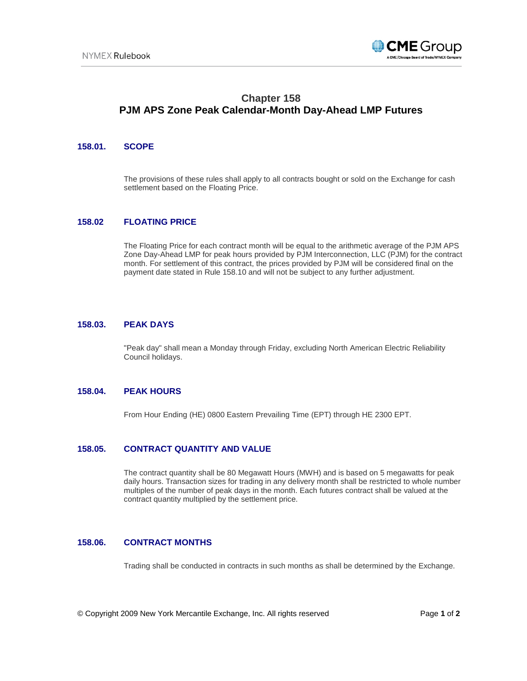

# **Chapter 158 PJM APS Zone Peak Calendar-Month Day-Ahead LMP Futures**

## **158.01. SCOPE**

The provisions of these rules shall apply to all contracts bought or sold on the Exchange for cash settlement based on the Floating Price.

## **158.02 FLOATING PRICE**

The Floating Price for each contract month will be equal to the arithmetic average of the PJM APS Zone Day-Ahead LMP for peak hours provided by PJM Interconnection, LLC (PJM) for the contract month. For settlement of this contract, the prices provided by PJM will be considered final on the payment date stated in Rule 158.10 and will not be subject to any further adjustment.

## **158.03. PEAK DAYS**

"Peak day" shall mean a Monday through Friday, excluding North American Electric Reliability Council holidays.

#### **158.04. PEAK HOURS**

From Hour Ending (HE) 0800 Eastern Prevailing Time (EPT) through HE 2300 EPT.

# **158.05. CONTRACT QUANTITY AND VALUE**

The contract quantity shall be 80 Megawatt Hours (MWH) and is based on 5 megawatts for peak daily hours. Transaction sizes for trading in any delivery month shall be restricted to whole number multiples of the number of peak days in the month. Each futures contract shall be valued at the contract quantity multiplied by the settlement price.

#### **158.06. CONTRACT MONTHS**

Trading shall be conducted in contracts in such months as shall be determined by the Exchange.

© Copyright 2009 New York Mercantile Exchange, Inc. All rights reserved Page **1** of **2**